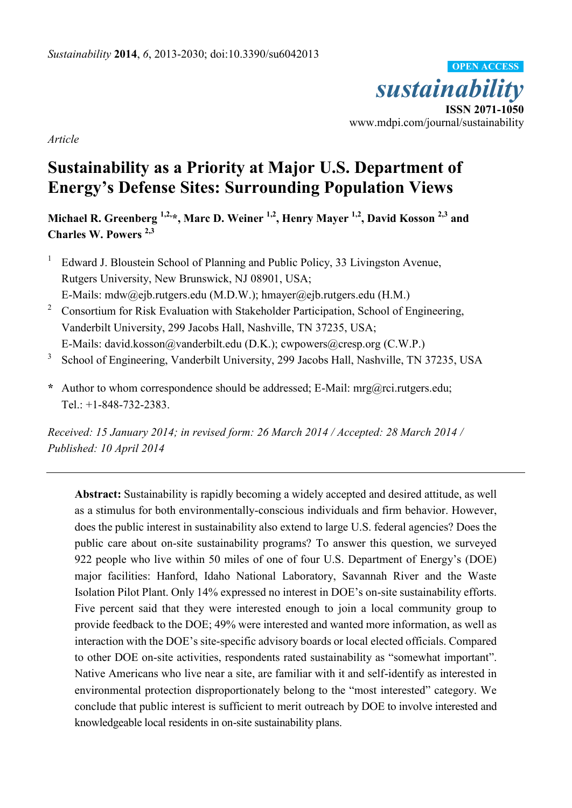*sustainability* **ISSN 2071-1050** www.mdpi.com/journal/sustainability **OPEN ACCESS**

*Article*

# **Sustainability as a Priority at Major U.S. Department of Energy's Defense Sites: Surrounding Population Views**

**Michael R. Greenberg 1,2, \*, Marc D. Weiner 1,2 , Henry Mayer 1,2 , David Kosson 2,3 and Charles W. Powers 2,3**

- 1 Edward J. Bloustein School of Planning and Public Policy, 33 Livingston Avenue, Rutgers University, New Brunswick, NJ 08901, USA; E-Mails: mdw@ejb.rutgers.edu (M.D.W.); hmayer@ejb.rutgers.edu (H.M.)
- <sup>2</sup> Consortium for Risk Evaluation with Stakeholder Participation, School of Engineering, Vanderbilt University, 299 Jacobs Hall, Nashville, TN 37235, USA; E-Mails: david.kosson@vanderbilt.edu (D.K.); cwpowers@cresp.org (C.W.P.)
- 3 School of Engineering, Vanderbilt University, 299 Jacobs Hall, Nashville, TN 37235, USA
- **\*** Author to whom correspondence should be addressed; E-Mail: mrg@rci.rutgers.edu; Tel.: +1-848-732-2383.

*Received: 15 January 2014; in revised form: 26 March 2014 / Accepted: 28 March 2014 / Published: 10 April 2014*

**Abstract:** Sustainability is rapidly becoming a widely accepted and desired attitude, as well as a stimulus for both environmentally-conscious individuals and firm behavior. However, does the public interest in sustainability also extend to large U.S. federal agencies? Does the public care about on-site sustainability programs? To answer this question, we surveyed 922 people who live within 50 miles of one of four U.S. Department of Energy's (DOE) major facilities: Hanford, Idaho National Laboratory, Savannah River and the Waste Isolation Pilot Plant. Only 14% expressed no interest in DOE's on-site sustainability efforts. Five percent said that they were interested enough to join a local community group to provide feedback to the DOE; 49% were interested and wanted more information, as well as interaction with the DOE's site-specific advisory boards or local elected officials. Compared to other DOE on-site activities, respondents rated sustainability as "somewhat important". Native Americans who live near a site, are familiar with it and self-identify as interested in environmental protection disproportionately belong to the "most interested" category. We conclude that public interest is sufficient to merit outreach by DOE to involve interested and knowledgeable local residents in on-site sustainability plans.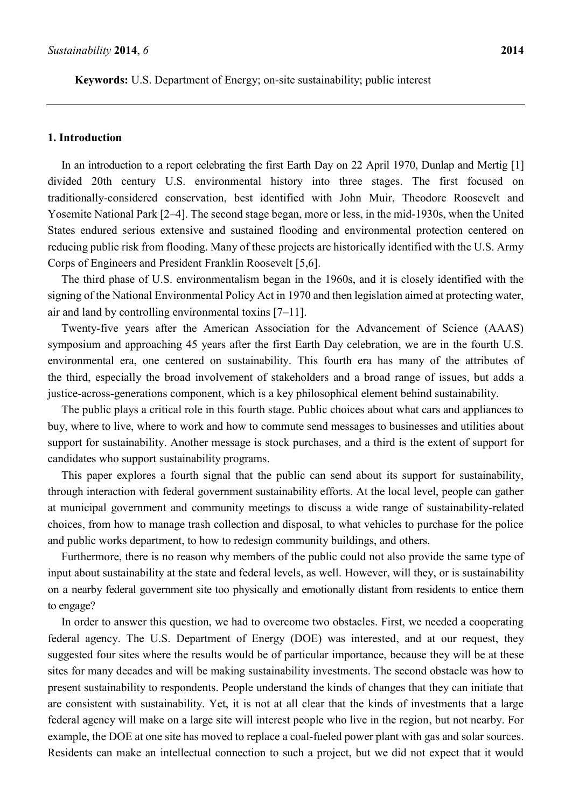**Keywords:** U.S. Department of Energy; on-site sustainability; public interest

## **1. Introduction**

In an introduction to a report celebrating the first Earth Day on 22 April 1970, Dunlap and Mertig [1] divided 20th century U.S. environmental history into three stages. The first focused on traditionally-considered conservation, best identified with John Muir, Theodore Roosevelt and Yosemite National Park [2–4]. The second stage began, more or less, in the mid-1930s, when the United States endured serious extensive and sustained flooding and environmental protection centered on reducing public risk from flooding. Many of these projects are historically identified with the U.S. Army Corps of Engineers and President Franklin Roosevelt [5,6].

The third phase of U.S. environmentalism began in the 1960s, and it is closely identified with the signing of the National Environmental Policy Act in 1970 and then legislation aimed at protecting water, air and land by controlling environmental toxins [7–11].

Twenty-five years after the American Association for the Advancement of Science (AAAS) symposium and approaching 45 years after the first Earth Day celebration, we are in the fourth U.S. environmental era, one centered on sustainability. This fourth era has many of the attributes of the third, especially the broad involvement of stakeholders and a broad range of issues, but adds a justice-across-generations component, which is a key philosophical element behind sustainability.

The public plays a critical role in this fourth stage. Public choices about what cars and appliances to buy, where to live, where to work and how to commute send messages to businesses and utilities about support for sustainability. Another message is stock purchases, and a third is the extent of support for candidates who support sustainability programs.

This paper explores a fourth signal that the public can send about its support for sustainability, through interaction with federal government sustainability efforts. At the local level, people can gather at municipal government and community meetings to discuss a wide range of sustainability-related choices, from how to manage trash collection and disposal, to what vehicles to purchase for the police and public works department, to how to redesign community buildings, and others.

Furthermore, there is no reason why members of the public could not also provide the same type of input about sustainability at the state and federal levels, as well. However, will they, or is sustainability on a nearby federal government site too physically and emotionally distant from residents to entice them to engage?

In order to answer this question, we had to overcome two obstacles. First, we needed a cooperating federal agency. The U.S. Department of Energy (DOE) was interested, and at our request, they suggested four sites where the results would be of particular importance, because they will be at these sites for many decades and will be making sustainability investments. The second obstacle was how to present sustainability to respondents. People understand the kinds of changes that they can initiate that are consistent with sustainability. Yet, it is not at all clear that the kinds of investments that a large federal agency will make on a large site will interest people who live in the region, but not nearby. For example, the DOE at one site has moved to replace a coal-fueled power plant with gas and solar sources. Residents can make an intellectual connection to such a project, but we did not expect that it would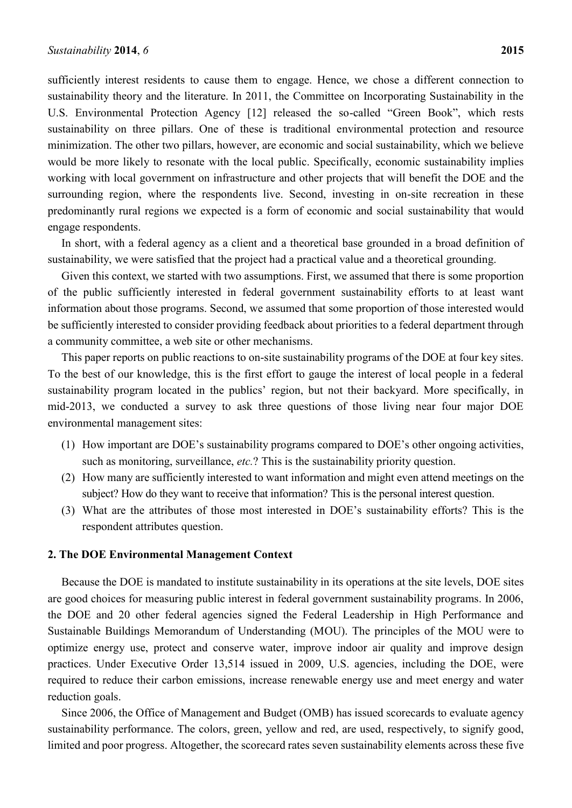sufficiently interest residents to cause them to engage. Hence, we chose a different connection to sustainability theory and the literature. In 2011, the Committee on Incorporating Sustainability in the U.S. Environmental Protection Agency [12] released the so-called "Green Book", which rests sustainability on three pillars. One of these is traditional environmental protection and resource minimization. The other two pillars, however, are economic and social sustainability, which we believe would be more likely to resonate with the local public. Specifically, economic sustainability implies working with local government on infrastructure and other projects that will benefit the DOE and the surrounding region, where the respondents live. Second, investing in on-site recreation in these predominantly rural regions we expected is a form of economic and social sustainability that would engage respondents.

In short, with a federal agency as a client and a theoretical base grounded in a broad definition of sustainability, we were satisfied that the project had a practical value and a theoretical grounding.

Given this context, we started with two assumptions. First, we assumed that there is some proportion of the public sufficiently interested in federal government sustainability efforts to at least want information about those programs. Second, we assumed that some proportion of those interested would be sufficiently interested to consider providing feedback about priorities to a federal department through a community committee, a web site or other mechanisms.

This paper reports on public reactions to on-site sustainability programs of the DOE at four key sites. To the best of our knowledge, this is the first effort to gauge the interest of local people in a federal sustainability program located in the publics' region, but not their backyard. More specifically, in mid-2013, we conducted a survey to ask three questions of those living near four major DOE environmental management sites:

- (1) How important are DOE's sustainability programs compared to DOE's other ongoing activities, such as monitoring, surveillance, *etc.*? This is the sustainability priority question.
- (2) How many are sufficiently interested to want information and might even attend meetings on the subject? How do they want to receive that information? This is the personal interest question.
- (3) What are the attributes of those most interested in DOE's sustainability efforts? This is the respondent attributes question.

## **2. The DOE Environmental Management Context**

Because the DOE is mandated to institute sustainability in its operations at the site levels, DOE sites are good choices for measuring public interest in federal government sustainability programs. In 2006, the DOE and 20 other federal agencies signed the Federal Leadership in High Performance and Sustainable Buildings Memorandum of Understanding (MOU). The principles of the MOU were to optimize energy use, protect and conserve water, improve indoor air quality and improve design practices. Under Executive Order 13,514 issued in 2009, U.S. agencies, including the DOE, were required to reduce their carbon emissions, increase renewable energy use and meet energy and water reduction goals.

Since 2006, the Office of Management and Budget (OMB) has issued scorecards to evaluate agency sustainability performance. The colors, green, yellow and red, are used, respectively, to signify good, limited and poor progress. Altogether, the scorecard rates seven sustainability elements across these five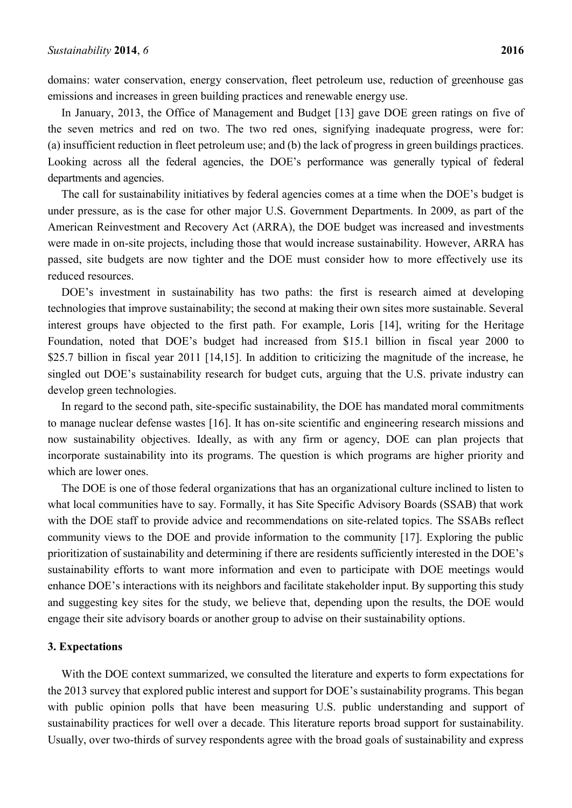domains: water conservation, energy conservation, fleet petroleum use, reduction of greenhouse gas emissions and increases in green building practices and renewable energy use.

In January, 2013, the Office of Management and Budget [13] gave DOE green ratings on five of the seven metrics and red on two. The two red ones, signifying inadequate progress, were for: (a) insufficient reduction in fleet petroleum use; and (b) the lack of progress in green buildings practices. Looking across all the federal agencies, the DOE's performance was generally typical of federal departments and agencies.

The call for sustainability initiatives by federal agencies comes at a time when the DOE's budget is under pressure, as is the case for other major U.S. Government Departments. In 2009, as part of the American Reinvestment and Recovery Act (ARRA), the DOE budget was increased and investments were made in on-site projects, including those that would increase sustainability. However, ARRA has passed, site budgets are now tighter and the DOE must consider how to more effectively use its reduced resources.

DOE's investment in sustainability has two paths: the first is research aimed at developing technologies that improve sustainability; the second at making their own sites more sustainable. Several interest groups have objected to the first path. For example, Loris [14], writing for the Heritage Foundation, noted that DOE's budget had increased from \$15.1 billion in fiscal year 2000 to \$25.7 billion in fiscal year 2011 [14,15]. In addition to criticizing the magnitude of the increase, he singled out DOE's sustainability research for budget cuts, arguing that the U.S. private industry can develop green technologies.

In regard to the second path, site-specific sustainability, the DOE has mandated moral commitments to manage nuclear defense wastes [16]. It has on-site scientific and engineering research missions and now sustainability objectives. Ideally, as with any firm or agency, DOE can plan projects that incorporate sustainability into its programs. The question is which programs are higher priority and which are lower ones.

The DOE is one of those federal organizations that has an organizational culture inclined to listen to what local communities have to say. Formally, it has Site Specific Advisory Boards (SSAB) that work with the DOE staff to provide advice and recommendations on site-related topics. The SSABs reflect community views to the DOE and provide information to the community [17]. Exploring the public prioritization of sustainability and determining if there are residents sufficiently interested in the DOE's sustainability efforts to want more information and even to participate with DOE meetings would enhance DOE's interactions with its neighbors and facilitate stakeholder input. By supporting this study and suggesting key sites for the study, we believe that, depending upon the results, the DOE would engage their site advisory boards or another group to advise on their sustainability options.

#### **3. Expectations**

With the DOE context summarized, we consulted the literature and experts to form expectations for the 2013 survey that explored public interest and support for DOE's sustainability programs. This began with public opinion polls that have been measuring U.S. public understanding and support of sustainability practices for well over a decade. This literature reports broad support for sustainability. Usually, over two-thirds of survey respondents agree with the broad goals of sustainability and express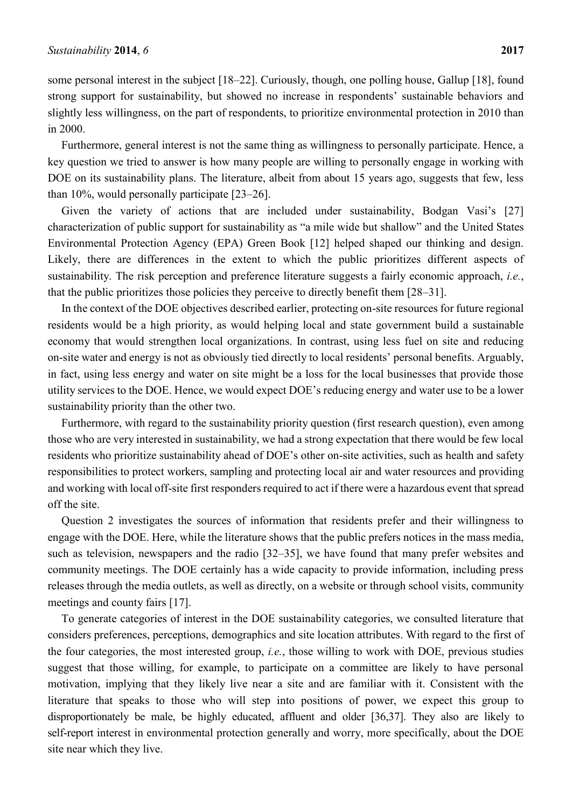some personal interest in the subject [18–22]. Curiously, though, one polling house, Gallup [18], found strong support for sustainability, but showed no increase in respondents' sustainable behaviors and slightly less willingness, on the part of respondents, to prioritize environmental protection in 2010 than in 2000.

Furthermore, general interest is not the same thing as willingness to personally participate. Hence, a key question we tried to answer is how many people are willing to personally engage in working with DOE on its sustainability plans. The literature, albeit from about 15 years ago, suggests that few, less than 10%, would personally participate [23–26].

Given the variety of actions that are included under sustainability, Bodgan Vasi's [27] characterization of public support for sustainability as "a mile wide but shallow" and the United States Environmental Protection Agency (EPA) Green Book [12] helped shaped our thinking and design. Likely, there are differences in the extent to which the public prioritizes different aspects of sustainability. The risk perception and preference literature suggests a fairly economic approach, *i.e.*, that the public prioritizes those policies they perceive to directly benefit them [28–31].

In the context of the DOE objectives described earlier, protecting on-site resources for future regional residents would be a high priority, as would helping local and state government build a sustainable economy that would strengthen local organizations. In contrast, using less fuel on site and reducing on-site water and energy is not as obviously tied directly to local residents' personal benefits. Arguably, in fact, using less energy and water on site might be a loss for the local businesses that provide those utility services to the DOE. Hence, we would expect DOE's reducing energy and water use to be a lower sustainability priority than the other two.

Furthermore, with regard to the sustainability priority question (first research question), even among those who are very interested in sustainability, we had a strong expectation that there would be few local residents who prioritize sustainability ahead of DOE's other on-site activities, such as health and safety responsibilities to protect workers, sampling and protecting local air and water resources and providing and working with local off-site first responders required to act if there were a hazardous event that spread off the site.

Question 2 investigates the sources of information that residents prefer and their willingness to engage with the DOE. Here, while the literature shows that the public prefers notices in the mass media, such as television, newspapers and the radio [32–35], we have found that many prefer websites and community meetings. The DOE certainly has a wide capacity to provide information, including press releases through the media outlets, as well as directly, on a website or through school visits, community meetings and county fairs [17].

To generate categories of interest in the DOE sustainability categories, we consulted literature that considers preferences, perceptions, demographics and site location attributes. With regard to the first of the four categories, the most interested group, *i.e.*, those willing to work with DOE, previous studies suggest that those willing, for example, to participate on a committee are likely to have personal motivation, implying that they likely live near a site and are familiar with it. Consistent with the literature that speaks to those who will step into positions of power, we expect this group to disproportionately be male, be highly educated, affluent and older [36,37]. They also are likely to self-report interest in environmental protection generally and worry, more specifically, about the DOE site near which they live.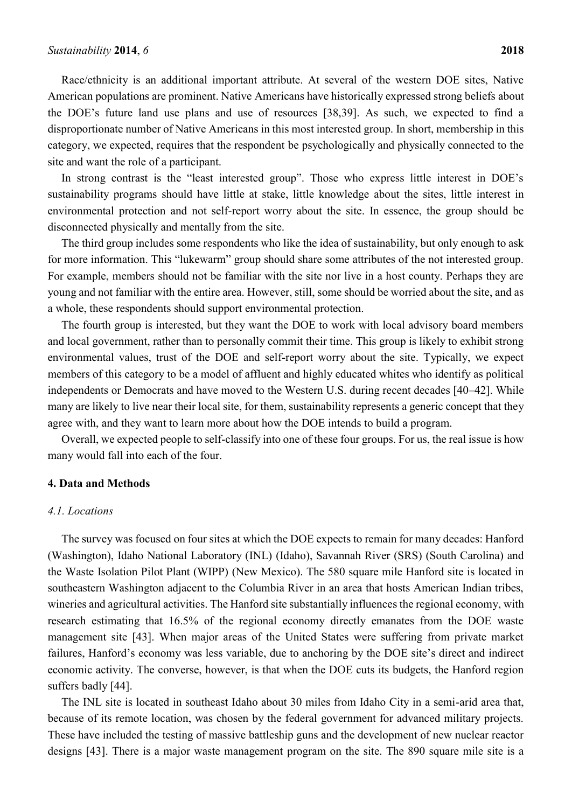Race/ethnicity is an additional important attribute. At several of the western DOE sites, Native American populations are prominent. Native Americans have historically expressed strong beliefs about the DOE's future land use plans and use of resources [38,39]. As such, we expected to find a disproportionate number of Native Americans in this most interested group. In short, membership in this category, we expected, requires that the respondent be psychologically and physically connected to the site and want the role of a participant.

In strong contrast is the "least interested group". Those who express little interest in DOE's sustainability programs should have little at stake, little knowledge about the sites, little interest in environmental protection and not self-report worry about the site. In essence, the group should be disconnected physically and mentally from the site.

The third group includes some respondents who like the idea of sustainability, but only enough to ask for more information. This "lukewarm" group should share some attributes of the not interested group. For example, members should not be familiar with the site nor live in a host county. Perhaps they are young and not familiar with the entire area. However, still, some should be worried about the site, and as a whole, these respondents should support environmental protection.

The fourth group is interested, but they want the DOE to work with local advisory board members and local government, rather than to personally commit their time. This group is likely to exhibit strong environmental values, trust of the DOE and self-report worry about the site. Typically, we expect members of this category to be a model of affluent and highly educated whites who identify as political independents or Democrats and have moved to the Western U.S. during recent decades [40–42]. While many are likely to live near their local site, for them, sustainability represents a generic concept that they agree with, and they want to learn more about how the DOE intends to build a program.

Overall, we expected people to self-classify into one of these four groups. For us, the real issue is how many would fall into each of the four.

#### **4. Data and Methods**

# *4.1. Locations*

The survey was focused on four sites at which the DOE expects to remain for many decades: Hanford (Washington), Idaho National Laboratory (INL) (Idaho), Savannah River (SRS) (South Carolina) and the Waste Isolation Pilot Plant (WIPP) (New Mexico). The 580 square mile Hanford site is located in southeastern Washington adjacent to the Columbia River in an area that hosts American Indian tribes, wineries and agricultural activities. The Hanford site substantially influences the regional economy, with research estimating that 16.5% of the regional economy directly emanates from the DOE waste management site [43]. When major areas of the United States were suffering from private market failures, Hanford's economy was less variable, due to anchoring by the DOE site's direct and indirect economic activity. The converse, however, is that when the DOE cuts its budgets, the Hanford region suffers badly [44].

The INL site is located in southeast Idaho about 30 miles from Idaho City in a semi-arid area that, because of its remote location, was chosen by the federal government for advanced military projects. These have included the testing of massive battleship guns and the development of new nuclear reactor designs [43]. There is a major waste management program on the site. The 890 square mile site is a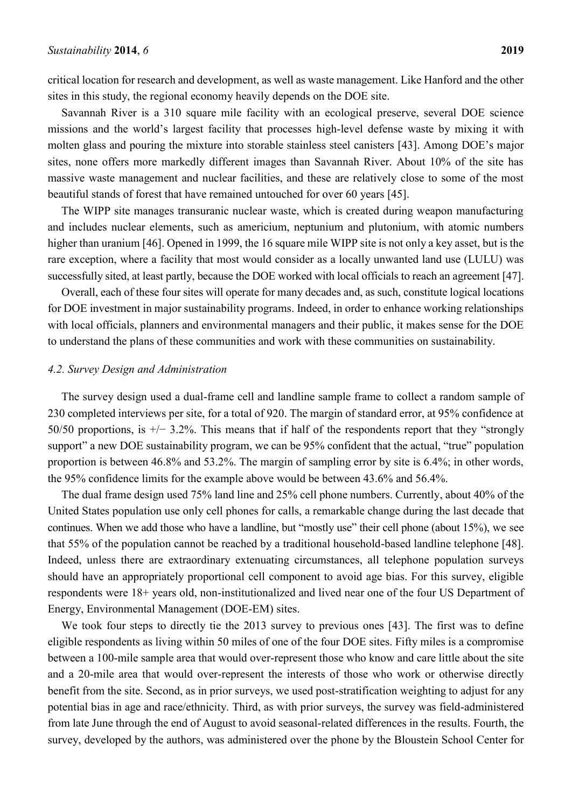critical location for research and development, as well as waste management. Like Hanford and the other sites in this study, the regional economy heavily depends on the DOE site.

Savannah River is a 310 square mile facility with an ecological preserve, several DOE science missions and the world's largest facility that processes high-level defense waste by mixing it with molten glass and pouring the mixture into storable stainless steel canisters [43]. Among DOE's major sites, none offers more markedly different images than Savannah River. About 10% of the site has massive waste management and nuclear facilities, and these are relatively close to some of the most beautiful stands of forest that have remained untouched for over 60 years [45].

The WIPP site manages transuranic nuclear waste, which is created during weapon manufacturing and includes nuclear elements, such as americium, neptunium and plutonium, with atomic numbers higher than uranium [46]. Opened in 1999, the 16 square mile WIPP site is not only a key asset, but is the rare exception, where a facility that most would consider as a locally unwanted land use (LULU) was successfully sited, at least partly, because the DOE worked with local officials to reach an agreement [47].

Overall, each of these four sites will operate for many decades and, as such, constitute logical locations for DOE investment in major sustainability programs. Indeed, in order to enhance working relationships with local officials, planners and environmental managers and their public, it makes sense for the DOE to understand the plans of these communities and work with these communities on sustainability.

#### *4.2. Survey Design and Administration*

The survey design used a dual-frame cell and landline sample frame to collect a random sample of 230 completed interviews per site, for a total of 920. The margin of standard error, at 95% confidence at 50/50 proportions, is +/− 3.2%. This means that if half of the respondents report that they "strongly support" a new DOE sustainability program, we can be 95% confident that the actual, "true" population proportion is between 46.8% and 53.2%. The margin of sampling error by site is 6.4%; in other words, the 95% confidence limits for the example above would be between 43.6% and 56.4%.

The dual frame design used 75% land line and 25% cell phone numbers. Currently, about 40% of the United States population use only cell phones for calls, a remarkable change during the last decade that continues. When we add those who have a landline, but "mostly use" their cell phone (about 15%), we see that 55% of the population cannot be reached by a traditional household-based landline telephone [48]. Indeed, unless there are extraordinary extenuating circumstances, all telephone population surveys should have an appropriately proportional cell component to avoid age bias. For this survey, eligible respondents were 18+ years old, non-institutionalized and lived near one of the four US Department of Energy, Environmental Management (DOE-EM) sites.

We took four steps to directly tie the 2013 survey to previous ones [43]. The first was to define eligible respondents as living within 50 miles of one of the four DOE sites. Fifty miles is a compromise between a 100-mile sample area that would over-represent those who know and care little about the site and a 20-mile area that would over-represent the interests of those who work or otherwise directly benefit from the site. Second, as in prior surveys, we used post-stratification weighting to adjust for any potential bias in age and race/ethnicity. Third, as with prior surveys, the survey was field-administered from late June through the end of August to avoid seasonal-related differences in the results. Fourth, the survey, developed by the authors, was administered over the phone by the Bloustein School Center for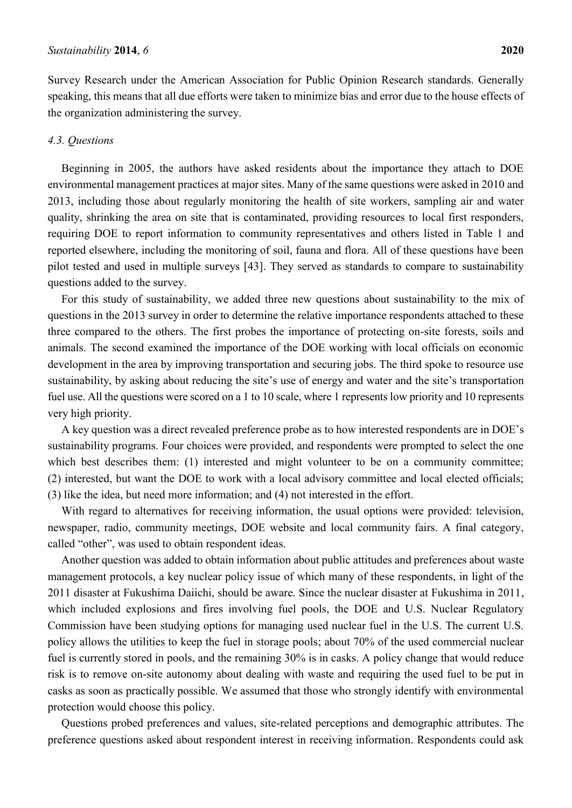Survey Research under the American Association for Public Opinion Research standards. Generally speaking, this means that all due efforts were taken to minimize bias and error due to the house effects of the organization administering the survey.

## *4.3. Questions*

Beginning in 2005, the authors have asked residents about the importance they attach to DOE environmental management practices at major sites. Many of the same questions were asked in 2010 and 2013, including those about regularly monitoring the health of site workers, sampling air and water quality, shrinking the area on site that is contaminated, providing resources to local first responders, requiring DOE to report information to community representatives and others listed in Table 1 and reported elsewhere, including the monitoring of soil, fauna and flora. All of these questions have been pilot tested and used in multiple surveys [43]. They served as standards to compare to sustainability questions added to the survey.

For this study of sustainability, we added three new questions about sustainability to the mix of questions in the 2013 survey in order to determine the relative importance respondents attached to these three compared to the others. The first probes the importance of protecting on-site forests, soils and animals. The second examined the importance of the DOE working with local officials on economic development in the area by improving transportation and securing jobs. The third spoke to resource use sustainability, by asking about reducing the site's use of energy and water and the site's transportation fuel use. All the questions were scored on a 1 to 10 scale, where 1 represents low priority and 10 represents very high priority.

A key question was a direct revealed preference probe as to how interested respondents are in DOE's sustainability programs. Four choices were provided, and respondents were prompted to select the one which best describes them: (1) interested and might volunteer to be on a community committee; (2) interested, but want the DOE to work with a local advisory committee and local elected officials; (3) like the idea, but need more information; and (4) not interested in the effort.

With regard to alternatives for receiving information, the usual options were provided: television, newspaper, radio, community meetings, DOE website and local community fairs. A final category, called "other", was used to obtain respondent ideas.

Another question was added to obtain information about public attitudes and preferences about waste management protocols, a key nuclear policy issue of which many of these respondents, in light of the 2011 disaster at Fukushima Daiichi, should be aware. Since the nuclear disaster at Fukushima in 2011, which included explosions and fires involving fuel pools, the DOE and U.S. Nuclear Regulatory Commission have been studying options for managing used nuclear fuel in the U.S. The current U.S. policy allows the utilities to keep the fuel in storage pools; about 70% of the used commercial nuclear fuel is currently stored in pools, and the remaining 30% is in casks. A policy change that would reduce risk is to remove on-site autonomy about dealing with waste and requiring the used fuel to be put in casks as soon as practically possible. We assumed that those who strongly identify with environmental protection would choose this policy.

Questions probed preferences and values, site-related perceptions and demographic attributes. The preference questions asked about respondent interest in receiving information. Respondents could ask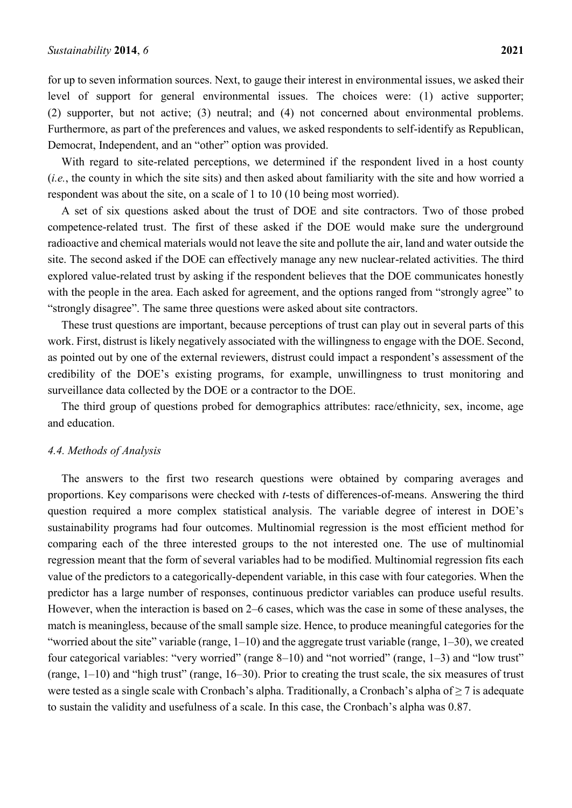for up to seven information sources. Next, to gauge their interest in environmental issues, we asked their level of support for general environmental issues. The choices were: (1) active supporter; (2) supporter, but not active; (3) neutral; and (4) not concerned about environmental problems. Furthermore, as part of the preferences and values, we asked respondents to self-identify as Republican, Democrat, Independent, and an "other" option was provided.

With regard to site-related perceptions, we determined if the respondent lived in a host county (*i.e.*, the county in which the site sits) and then asked about familiarity with the site and how worried a respondent was about the site, on a scale of 1 to 10 (10 being most worried).

A set of six questions asked about the trust of DOE and site contractors. Two of those probed competence-related trust. The first of these asked if the DOE would make sure the underground radioactive and chemical materials would not leave the site and pollute the air, land and water outside the site. The second asked if the DOE can effectively manage any new nuclear-related activities. The third explored value-related trust by asking if the respondent believes that the DOE communicates honestly with the people in the area. Each asked for agreement, and the options ranged from "strongly agree" to "strongly disagree". The same three questions were asked about site contractors.

These trust questions are important, because perceptions of trust can play out in several parts of this work. First, distrust is likely negatively associated with the willingness to engage with the DOE. Second, as pointed out by one of the external reviewers, distrust could impact a respondent's assessment of the credibility of the DOE's existing programs, for example, unwillingness to trust monitoring and surveillance data collected by the DOE or a contractor to the DOE.

The third group of questions probed for demographics attributes: race/ethnicity, sex, income, age and education.

#### *4.4. Methods of Analysis*

The answers to the first two research questions were obtained by comparing averages and proportions. Key comparisons were checked with *t*-tests of differences-of-means. Answering the third question required a more complex statistical analysis. The variable degree of interest in DOE's sustainability programs had four outcomes. Multinomial regression is the most efficient method for comparing each of the three interested groups to the not interested one. The use of multinomial regression meant that the form of several variables had to be modified. Multinomial regression fits each value of the predictors to a categorically-dependent variable, in this case with four categories. When the predictor has a large number of responses, continuous predictor variables can produce useful results. However, when the interaction is based on 2–6 cases, which was the case in some of these analyses, the match is meaningless, because of the small sample size. Hence, to produce meaningful categories for the "worried about the site" variable (range,  $1-10$ ) and the aggregate trust variable (range,  $1-30$ ), we created four categorical variables: "very worried" (range 8–10) and "not worried" (range, 1–3) and "low trust" (range, 1–10) and "high trust" (range, 16–30). Prior to creating the trust scale, the six measures of trust were tested as a single scale with Cronbach's alpha. Traditionally, a Cronbach's alpha of  $\geq 7$  is adequate to sustain the validity and usefulness of a scale. In this case, the Cronbach's alpha was 0.87.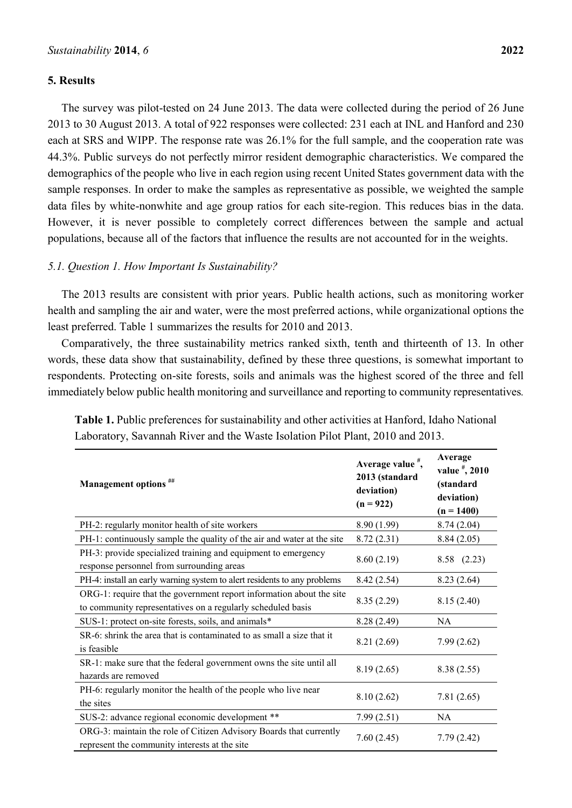# **5. Results**

The survey was pilot-tested on 24 June 2013. The data were collected during the period of 26 June 2013 to 30 August 2013. A total of 922 responses were collected: 231 each at INL and Hanford and 230 each at SRS and WIPP. The response rate was 26.1% for the full sample, and the cooperation rate was 44.3%. Public surveys do not perfectly mirror resident demographic characteristics. We compared the demographics of the people who live in each region using recent United States government data with the sample responses. In order to make the samples as representative as possible, we weighted the sample data files by white-nonwhite and age group ratios for each site-region. This reduces bias in the data. However, it is never possible to completely correct differences between the sample and actual populations, because all of the factors that influence the results are not accounted for in the weights.

## *5.1. Question 1. How Important Is Sustainability?*

The 2013 results are consistent with prior years. Public health actions, such as monitoring worker health and sampling the air and water, were the most preferred actions, while organizational options the least preferred. Table 1 summarizes the results for 2010 and 2013.

Comparatively, the three sustainability metrics ranked sixth, tenth and thirteenth of 13. In other words, these data show that sustainability, defined by these three questions, is somewhat important to respondents. Protecting on-site forests, soils and animals was the highest scored of the three and fell immediately below public health monitoring and surveillance and reporting to community representatives*.*

| Management options <sup>##</sup>                                                                                                    | Average value ",<br>2013 (standard<br>deviation)<br>$(n = 922)$ | Average<br>value #, 2010<br>(standard<br>deviation)<br>$(n = 1400)$ |
|-------------------------------------------------------------------------------------------------------------------------------------|-----------------------------------------------------------------|---------------------------------------------------------------------|
| PH-2: regularly monitor health of site workers                                                                                      | 8.90 (1.99)                                                     | 8.74(2.04)                                                          |
| PH-1: continuously sample the quality of the air and water at the site                                                              | 8.72(2.31)                                                      | 8.84(2.05)                                                          |
| PH-3: provide specialized training and equipment to emergency<br>response personnel from surrounding areas                          | 8.60(2.19)                                                      | 8.58 (2.23)                                                         |
| PH-4: install an early warning system to alert residents to any problems                                                            | 8.42(2.54)                                                      | 8.23(2.64)                                                          |
| ORG-1: require that the government report information about the site<br>to community representatives on a regularly scheduled basis | 8.35(2.29)                                                      | 8.15(2.40)                                                          |
| SUS-1: protect on-site forests, soils, and animals*                                                                                 | 8.28 (2.49)                                                     | <b>NA</b>                                                           |
| SR-6: shrink the area that is contaminated to as small a size that it<br>is feasible                                                | 8.21 (2.69)                                                     | 7.99(2.62)                                                          |
| SR-1: make sure that the federal government owns the site until all<br>hazards are removed                                          | 8.19(2.65)                                                      | 8.38(2.55)                                                          |
| PH-6: regularly monitor the health of the people who live near<br>the sites                                                         | 8.10(2.62)                                                      | 7.81(2.65)                                                          |
| SUS-2: advance regional economic development **                                                                                     | 7.99(2.51)                                                      | <b>NA</b>                                                           |
| ORG-3: maintain the role of Citizen Advisory Boards that currently<br>represent the community interests at the site                 | 7.60(2.45)                                                      | 7.79(2.42)                                                          |

**Table 1.** Public preferences for sustainability and other activities at Hanford, Idaho National Laboratory, Savannah River and the Waste Isolation Pilot Plant, 2010 and 2013.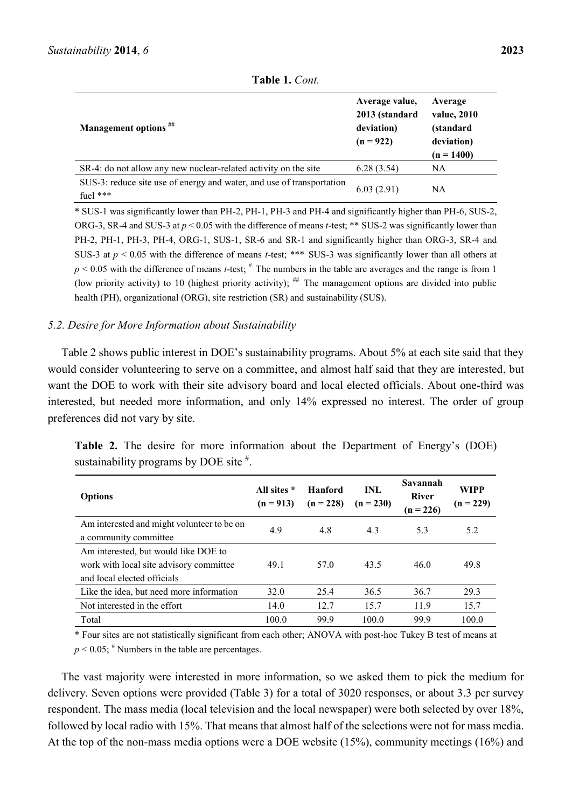| Management options ##                                                               | Average value,<br>2013 (standard<br>deviation)<br>$(n = 922)$ | Average<br>value, 2010<br>(standard<br>deviation)<br>$(n = 1400)$ |
|-------------------------------------------------------------------------------------|---------------------------------------------------------------|-------------------------------------------------------------------|
| SR-4: do not allow any new nuclear-related activity on the site                     | 6.28(3.54)                                                    | NA                                                                |
| SUS-3: reduce site use of energy and water, and use of transportation<br>fuel $***$ | 6.03(2.91)                                                    | NA.                                                               |

**Table 1.** *Cont.*

\* SUS-1 was significantly lower than PH-2, PH-1, PH-3 and PH-4 and significantly higher than PH-6, SUS-2, ORG-3, SR-4 and SUS-3 at *p* < 0.05 with the difference of means *t*-test; \*\* SUS-2 was significantly lower than PH-2, PH-1, PH-3, PH-4, ORG-1, SUS-1, SR-6 and SR-1 and significantly higher than ORG-3, SR-4 and SUS-3 at  $p < 0.05$  with the difference of means *t*-test; \*\*\* SUS-3 was significantly lower than all others at  $p \le 0.05$  with the difference of means *t*-test;  $\#$  The numbers in the table are averages and the range is from 1 (low priority activity) to 10 (highest priority activity);  $\#$  The management options are divided into public health (PH), organizational (ORG), site restriction (SR) and sustainability (SUS).

# *5.2. Desire for More Information about Sustainability*

Table 2 shows public interest in DOE's sustainability programs. About 5% at each site said that they would consider volunteering to serve on a committee, and almost half said that they are interested, but want the DOE to work with their site advisory board and local elected officials. About one-third was interested, but needed more information, and only 14% expressed no interest. The order of group preferences did not vary by site.

|  |                                                      |  | <b>Table 2.</b> The desire for more information about the Department of Energy's (DOE) |  |  |  |
|--|------------------------------------------------------|--|----------------------------------------------------------------------------------------|--|--|--|
|  | sustainability programs by DOE site $\overline{a}$ . |  |                                                                                        |  |  |  |

| <b>Options</b>                                                                                                 | All sites *<br>$(n = 913)$ | Hanford<br>$(n = 228)$ | <b>INL</b><br>$(n = 230)$ | Savannah<br><b>River</b><br>$(n = 226)$ | <b>WIPP</b><br>$(n = 229)$ |
|----------------------------------------------------------------------------------------------------------------|----------------------------|------------------------|---------------------------|-----------------------------------------|----------------------------|
| Am interested and might volunteer to be on<br>a community committee                                            | 4.9                        | 4.8                    | 4.3                       | 5.3                                     | 5.2                        |
| Am interested, but would like DOE to<br>work with local site advisory committee<br>and local elected officials | 49.1                       | 57.0                   | 43.5                      | 46.0                                    | 49.8                       |
| Like the idea, but need more information                                                                       | 32.0                       | 25.4                   | 36.5                      | 36.7                                    | 29.3                       |
| Not interested in the effort                                                                                   | 14.0                       | 12.7                   | 15.7                      | 11.9                                    | 15.7                       |
| Total                                                                                                          | 100.0                      | 99.9                   | 100.0                     | 99.9                                    | 100.0                      |

\* Four sites are not statistically significant from each other; ANOVA with post-hoc Tukey B test of means at  $p \le 0.05$ ;  $\frac{4}{3}$  Numbers in the table are percentages.

The vast majority were interested in more information, so we asked them to pick the medium for delivery. Seven options were provided (Table 3) for a total of 3020 responses, or about 3.3 per survey respondent. The mass media (local television and the local newspaper) were both selected by over 18%, followed by local radio with 15%. That means that almost half of the selections were not for mass media. At the top of the non-mass media options were a DOE website (15%), community meetings (16%) and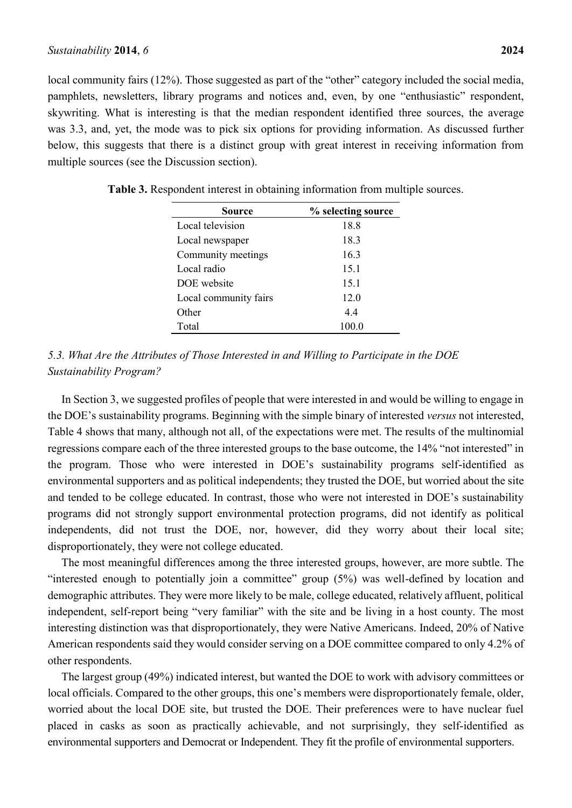local community fairs (12%). Those suggested as part of the "other" category included the social media, pamphlets, newsletters, library programs and notices and, even, by one "enthusiastic" respondent, skywriting. What is interesting is that the median respondent identified three sources, the average was 3.3, and, yet, the mode was to pick six options for providing information. As discussed further below, this suggests that there is a distinct group with great interest in receiving information from multiple sources (see the Discussion section).

| <b>Source</b>         | % selecting source |
|-----------------------|--------------------|
| Local television      | 18.8               |
| Local newspaper       | 18.3               |
| Community meetings    | 16.3               |
| Local radio           | 15.1               |
| DOE website           | 15.1               |
| Local community fairs | 12.0               |
| Other                 | 44                 |
| Total                 | 100.0              |

**Table 3.** Respondent interest in obtaining information from multiple sources.



In Section 3, we suggested profiles of people that were interested in and would be willing to engage in the DOE's sustainability programs. Beginning with the simple binary of interested *versus* not interested, Table 4 shows that many, although not all, of the expectations were met. The results of the multinomial regressions compare each of the three interested groups to the base outcome, the 14% "not interested" in the program. Those who were interested in DOE's sustainability programs self-identified as environmental supporters and as political independents; they trusted the DOE, but worried about the site and tended to be college educated. In contrast, those who were not interested in DOE's sustainability programs did not strongly support environmental protection programs, did not identify as political independents, did not trust the DOE, nor, however, did they worry about their local site; disproportionately, they were not college educated.

The most meaningful differences among the three interested groups, however, are more subtle. The "interested enough to potentially join a committee" group (5%) was well-defined by location and demographic attributes. They were more likely to be male, college educated, relatively affluent, political independent, self-report being "very familiar" with the site and be living in a host county. The most interesting distinction was that disproportionately, they were Native Americans. Indeed, 20% of Native American respondents said they would consider serving on a DOE committee compared to only 4.2% of other respondents.

The largest group (49%) indicated interest, but wanted the DOE to work with advisory committees or local officials. Compared to the other groups, this one's members were disproportionately female, older, worried about the local DOE site, but trusted the DOE. Their preferences were to have nuclear fuel placed in casks as soon as practically achievable, and not surprisingly, they self-identified as environmental supporters and Democrat or Independent. They fit the profile of environmental supporters.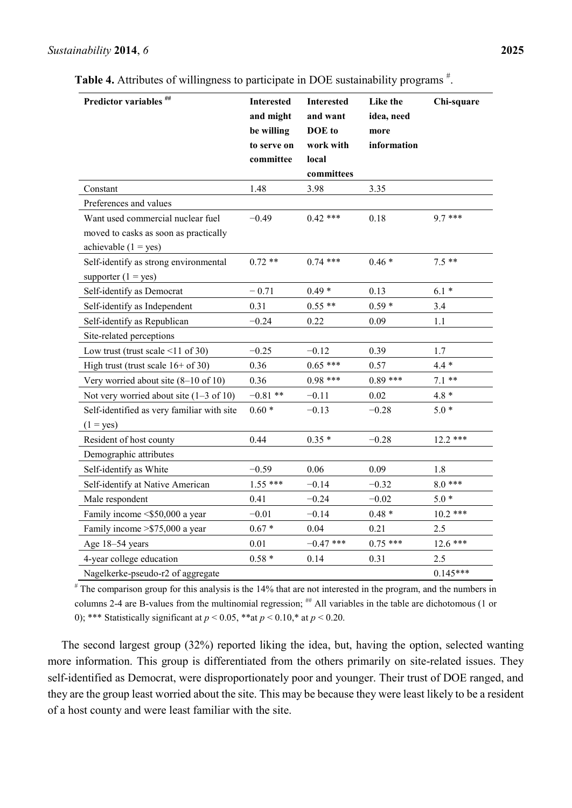| Predictor variables ##                                                                               | <b>Interested</b><br>and might<br>be willing<br>to serve on<br>committee | <b>Interested</b><br>and want<br>DOE to<br>work with<br>local<br>committees | Like the<br>idea, need<br>more<br>information | Chi-square |
|------------------------------------------------------------------------------------------------------|--------------------------------------------------------------------------|-----------------------------------------------------------------------------|-----------------------------------------------|------------|
| Constant                                                                                             | 1.48                                                                     | 3.98                                                                        | 3.35                                          |            |
| Preferences and values                                                                               |                                                                          |                                                                             |                                               |            |
| Want used commercial nuclear fuel<br>moved to casks as soon as practically<br>achievable $(1 = yes)$ | $-0.49$                                                                  | $0.42$ ***                                                                  | 0.18                                          | $9.7***$   |
| Self-identify as strong environmental<br>supporter $(1 = yes)$                                       | $0.72**$                                                                 | $0.74$ ***                                                                  | $0.46*$                                       | $7.5***$   |
| Self-identify as Democrat                                                                            | $-0.71$                                                                  | $0.49*$                                                                     | 0.13                                          | $6.1*$     |
| Self-identify as Independent                                                                         | 0.31                                                                     | $0.55**$                                                                    | $0.59*$                                       | 3.4        |
| Self-identify as Republican                                                                          | $-0.24$                                                                  | 0.22                                                                        | 0.09                                          | 1.1        |
| Site-related perceptions                                                                             |                                                                          |                                                                             |                                               |            |
| Low trust (trust scale $\leq$ 11 of 30)                                                              | $-0.25$                                                                  | $-0.12$                                                                     | 0.39                                          | 1.7        |
| High trust (trust scale $16+$ of 30)                                                                 | 0.36                                                                     | $0.65$ ***                                                                  | 0.57                                          | $4.4*$     |
| Very worried about site $(8-10$ of 10)                                                               | 0.36                                                                     | $0.98***$                                                                   | $0.89***$                                     | $7.1**$    |
| Not very worried about site $(1-3 \text{ of } 10)$                                                   | $-0.81$ **                                                               | $-0.11$                                                                     | 0.02                                          | $4.8 *$    |
| Self-identified as very familiar with site<br>$(1 = yes)$                                            | $0.60*$                                                                  | $-0.13$                                                                     | $-0.28$                                       | $5.0*$     |
| Resident of host county                                                                              | 0.44                                                                     | $0.35*$                                                                     | $-0.28$                                       | $12.2$ *** |
| Demographic attributes                                                                               |                                                                          |                                                                             |                                               |            |
| Self-identify as White                                                                               | $-0.59$                                                                  | 0.06                                                                        | 0.09                                          | 1.8        |
| Self-identify at Native American                                                                     | $1.55***$                                                                | $-0.14$                                                                     | $-0.32$                                       | $8.0***$   |
| Male respondent                                                                                      | 0.41                                                                     | $-0.24$                                                                     | $-0.02$                                       | $5.0*$     |
| Family income <\$50,000 a year                                                                       | $-0.01$                                                                  | $-0.14$                                                                     | $0.48*$                                       | $10.2$ *** |
| Family income > \$75,000 a year                                                                      | $0.67 *$                                                                 | 0.04                                                                        | 0.21                                          | 2.5        |
| Age 18-54 years                                                                                      | 0.01                                                                     | $-0.47$ ***                                                                 | $0.75***$                                     | $12.6***$  |
| 4-year college education                                                                             | $0.58 *$                                                                 | 0.14                                                                        | 0.31                                          | 2.5        |
| Nagelkerke-pseudo-r2 of aggregate                                                                    |                                                                          |                                                                             |                                               | $0.145***$ |

|  | Table 4. Attributes of willingness to participate in DOE sustainability programs $*$ |  |  |
|--|--------------------------------------------------------------------------------------|--|--|
|  |                                                                                      |  |  |

# The comparison group for this analysis is the 14% that are not interested in the program, and the numbers in columns 2-4 are B-values from the multinomial regression; <sup>##</sup> All variables in the table are dichotomous (1 or 0); \*\*\* Statistically significant at  $p < 0.05$ , \*\*at  $p < 0.10$ ,\* at  $p < 0.20$ .

The second largest group (32%) reported liking the idea, but, having the option, selected wanting more information. This group is differentiated from the others primarily on site-related issues. They self-identified as Democrat, were disproportionately poor and younger. Their trust of DOE ranged, and they are the group least worried about the site. This may be because they were least likely to be a resident of a host county and were least familiar with the site.

.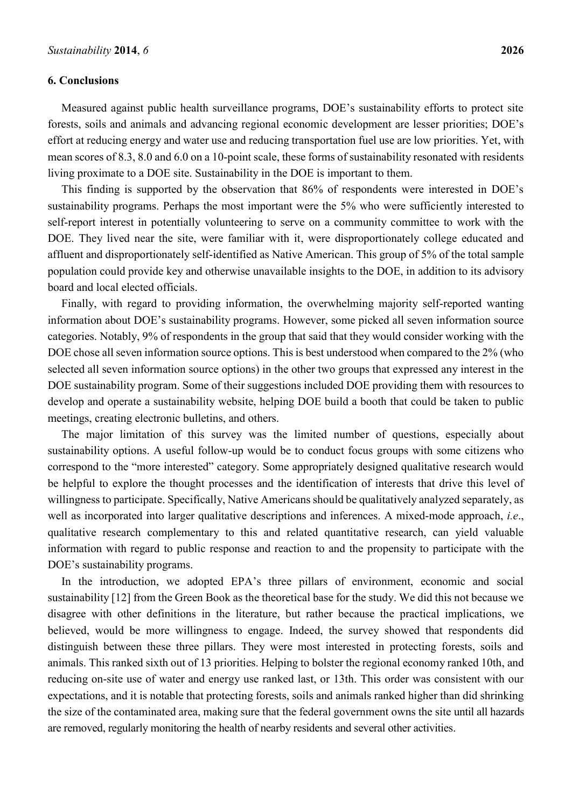# **6. Conclusions**

Measured against public health surveillance programs, DOE's sustainability efforts to protect site forests, soils and animals and advancing regional economic development are lesser priorities; DOE's effort at reducing energy and water use and reducing transportation fuel use are low priorities. Yet, with mean scores of 8.3, 8.0 and 6.0 on a 10-point scale, these forms of sustainability resonated with residents living proximate to a DOE site. Sustainability in the DOE is important to them.

This finding is supported by the observation that 86% of respondents were interested in DOE's sustainability programs. Perhaps the most important were the 5% who were sufficiently interested to self-report interest in potentially volunteering to serve on a community committee to work with the DOE. They lived near the site, were familiar with it, were disproportionately college educated and affluent and disproportionately self-identified as Native American. This group of 5% of the total sample population could provide key and otherwise unavailable insights to the DOE, in addition to its advisory board and local elected officials.

Finally, with regard to providing information, the overwhelming majority self-reported wanting information about DOE's sustainability programs. However, some picked all seven information source categories. Notably, 9% of respondents in the group that said that they would consider working with the DOE chose all seven information source options. This is best understood when compared to the 2% (who selected all seven information source options) in the other two groups that expressed any interest in the DOE sustainability program. Some of their suggestions included DOE providing them with resources to develop and operate a sustainability website, helping DOE build a booth that could be taken to public meetings, creating electronic bulletins, and others.

The major limitation of this survey was the limited number of questions, especially about sustainability options. A useful follow-up would be to conduct focus groups with some citizens who correspond to the "more interested" category. Some appropriately designed qualitative research would be helpful to explore the thought processes and the identification of interests that drive this level of willingness to participate. Specifically, Native Americans should be qualitatively analyzed separately, as well as incorporated into larger qualitative descriptions and inferences. A mixed-mode approach, *i.e*., qualitative research complementary to this and related quantitative research, can yield valuable information with regard to public response and reaction to and the propensity to participate with the DOE's sustainability programs.

In the introduction, we adopted EPA's three pillars of environment, economic and social sustainability [12] from the Green Book as the theoretical base for the study. We did this not because we disagree with other definitions in the literature, but rather because the practical implications, we believed, would be more willingness to engage. Indeed, the survey showed that respondents did distinguish between these three pillars. They were most interested in protecting forests, soils and animals. This ranked sixth out of 13 priorities. Helping to bolster the regional economy ranked 10th, and reducing on-site use of water and energy use ranked last, or 13th. This order was consistent with our expectations, and it is notable that protecting forests, soils and animals ranked higher than did shrinking the size of the contaminated area, making sure that the federal government owns the site until all hazards are removed, regularly monitoring the health of nearby residents and several other activities.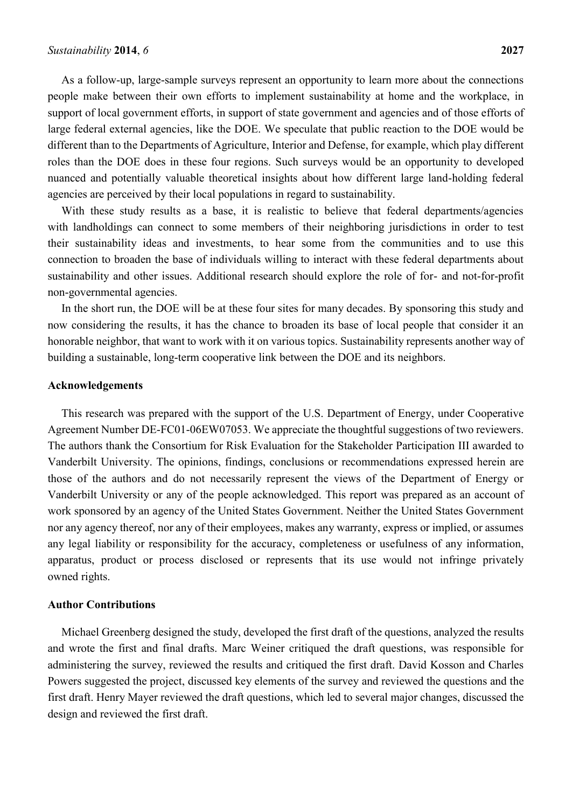As a follow-up, large-sample surveys represent an opportunity to learn more about the connections people make between their own efforts to implement sustainability at home and the workplace, in support of local government efforts, in support of state government and agencies and of those efforts of large federal external agencies, like the DOE. We speculate that public reaction to the DOE would be different than to the Departments of Agriculture, Interior and Defense, for example, which play different roles than the DOE does in these four regions. Such surveys would be an opportunity to developed nuanced and potentially valuable theoretical insights about how different large land-holding federal agencies are perceived by their local populations in regard to sustainability.

With these study results as a base, it is realistic to believe that federal departments/agencies with landholdings can connect to some members of their neighboring jurisdictions in order to test their sustainability ideas and investments, to hear some from the communities and to use this connection to broaden the base of individuals willing to interact with these federal departments about sustainability and other issues. Additional research should explore the role of for- and not-for-profit non-governmental agencies.

In the short run, the DOE will be at these four sites for many decades. By sponsoring this study and now considering the results, it has the chance to broaden its base of local people that consider it an honorable neighbor, that want to work with it on various topics. Sustainability represents another way of building a sustainable, long-term cooperative link between the DOE and its neighbors.

#### **Acknowledgements**

This research was prepared with the support of the U.S. Department of Energy, under Cooperative Agreement Number DE-FC01-06EW07053. We appreciate the thoughtful suggestions of two reviewers. The authors thank the Consortium for Risk Evaluation for the Stakeholder Participation III awarded to Vanderbilt University. The opinions, findings, conclusions or recommendations expressed herein are those of the authors and do not necessarily represent the views of the Department of Energy or Vanderbilt University or any of the people acknowledged. This report was prepared as an account of work sponsored by an agency of the United States Government. Neither the United States Government nor any agency thereof, nor any of their employees, makes any warranty, express or implied, or assumes any legal liability or responsibility for the accuracy, completeness or usefulness of any information, apparatus, product or process disclosed or represents that its use would not infringe privately owned rights.

# **Author Contributions**

Michael Greenberg designed the study, developed the first draft of the questions, analyzed the results and wrote the first and final drafts. Marc Weiner critiqued the draft questions, was responsible for administering the survey, reviewed the results and critiqued the first draft. David Kosson and Charles Powers suggested the project, discussed key elements of the survey and reviewed the questions and the first draft. Henry Mayer reviewed the draft questions, which led to several major changes, discussed the design and reviewed the first draft.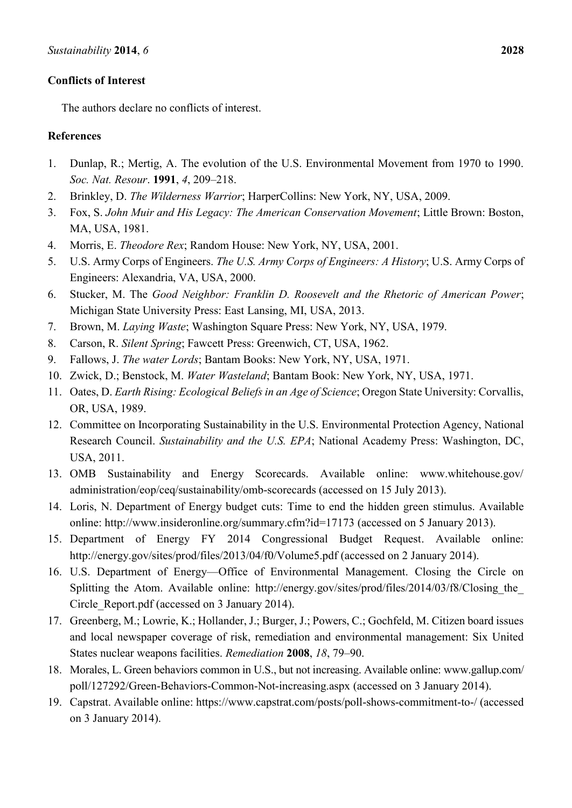# **Conflicts of Interest**

The authors declare no conflicts of interest.

# **References**

- 1. Dunlap, R.; Mertig, A. The evolution of the U.S. Environmental Movement from 1970 to 1990. *Soc. Nat. Resour*. **1991**, *4*, 209–218.
- 2. Brinkley, D. *The Wilderness Warrior*; HarperCollins: New York, NY, USA, 2009.
- 3. Fox, S. *John Muir and His Legacy: The American Conservation Movement*; Little Brown: Boston, MA, USA, 1981.
- 4. Morris, E. *Theodore Rex*; Random House: New York, NY, USA, 2001.
- 5. U.S. Army Corps of Engineers. *The U.S. Army Corps of Engineers: A History*; U.S. Army Corps of Engineers: Alexandria, VA, USA, 2000.
- 6. Stucker, M. The *Good Neighbor: Franklin D. Roosevelt and the Rhetoric of American Power*; Michigan State University Press: East Lansing, MI, USA, 2013.
- 7. Brown, M. *Laying Waste*; Washington Square Press: New York, NY, USA, 1979.
- 8. Carson, R. *Silent Spring*; Fawcett Press: Greenwich, CT, USA, 1962.
- 9. Fallows, J. *The water Lords*; Bantam Books: New York, NY, USA, 1971.
- 10. Zwick, D.; Benstock, M. *Water Wasteland*; Bantam Book: New York, NY, USA, 1971.
- 11. Oates, D. *Earth Rising: Ecological Beliefs in an Age of Science*; Oregon State University: Corvallis, OR, USA, 1989.
- 12. Committee on Incorporating Sustainability in the U.S. Environmental Protection Agency, National Research Council. *Sustainability and the U.S. EPA*; National Academy Press: Washington, DC, USA, 2011.
- 13. OMB Sustainability and Energy Scorecards. Available online: www.whitehouse.gov/ administration/eop/ceq/sustainability/omb-scorecards (accessed on 15 July 2013).
- 14. Loris, N. Department of Energy budget cuts: Time to end the hidden green stimulus. Available online: http://www.insideronline.org/summary.cfm?id=17173 (accessed on 5 January 2013).
- 15. Department of Energy FY 2014 Congressional Budget Request. Available online: http://energy.gov/sites/prod/files/2013/04/f0/Volume5.pdf (accessed on 2 January 2014).
- 16. U.S. Department of Energy—Office of Environmental Management. Closing the Circle on Splitting the Atom. Available online: http://energy.gov/sites/prod/files/2014/03/f8/Closing the Circle\_Report.pdf (accessed on 3 January 2014).
- 17. Greenberg, M.; Lowrie, K.; Hollander, J.; Burger, J.; Powers, C.; Gochfeld, M. Citizen board issues and local newspaper coverage of risk, remediation and environmental management: Six United States nuclear weapons facilities. *Remediation* **2008**, *18*, 79–90.
- 18. Morales, L. Green behaviors common in U.S., but not increasing. Available online: www.gallup.com/ poll/127292/Green-Behaviors-Common-Not-increasing.aspx (accessed on 3 January 2014).
- 19. Capstrat. Available online: https://www.capstrat.com/posts/poll-shows-commitment-to-/ (accessed on 3 January 2014).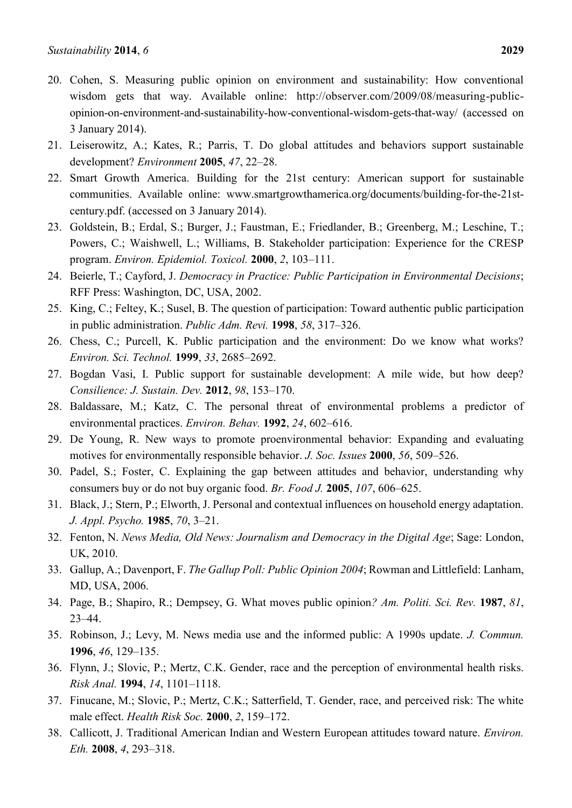- 20. Cohen, S. Measuring public opinion on environment and sustainability: How conventional wisdom gets that way. Available online: http://observer.com/2009/08/measuring-publicopinion-on-environment-and-sustainability-how-conventional-wisdom-gets-that-way/ (accessed on 3 January 2014).
- 21. Leiserowitz, A.; Kates, R.; Parris, T. Do global attitudes and behaviors support sustainable development? *Environment* **2005**, *47*, 22–28.
- 22. Smart Growth America. Building for the 21st century: American support for sustainable communities. Available online: www.smartgrowthamerica.org/documents/building-for-the-21stcentury.pdf. (accessed on 3 January 2014).
- 23. Goldstein, B.; Erdal, S.; Burger, J.; Faustman, E.; Friedlander, B.; Greenberg, M.; Leschine, T.; Powers, C.; Waishwell, L.; Williams, B. Stakeholder participation: Experience for the CRESP program. *Environ. Epidemiol. Toxicol.* **2000**, *2*, 103–111.
- 24. Beierle, T.; Cayford, J. *Democracy in Practice: Public Participation in Environmental Decisions*; RFF Press: Washington, DC, USA, 2002.
- 25. King, C.; Feltey, K.; Susel, B. The question of participation: Toward authentic public participation in public administration. *Public Adm. Revi.* **1998**, *58*, 317–326.
- 26. Chess, C.; Purcell, K. Public participation and the environment: Do we know what works? *Environ. Sci. Technol.* **1999**, *33*, 2685–2692.
- 27. Bogdan Vasi, I. Public support for sustainable development: A mile wide, but how deep? *Consilience: J. Sustain. Dev.* **2012**, *98*, 153–170.
- 28. Baldassare, M.; Katz, C. The personal threat of environmental problems a predictor of environmental practices. *Environ. Behav.* **1992**, *24*, 602–616.
- 29. De Young, R. New ways to promote proenvironmental behavior: Expanding and evaluating motives for environmentally responsible behavior. *J. Soc. Issues* **2000**, *56*, 509–526.
- 30. Padel, S.; Foster, C. Explaining the gap between attitudes and behavior, understanding why consumers buy or do not buy organic food. *Br. Food J.* **2005**, *107*, 606–625.
- 31. Black, J.; Stern, P.; Elworth, J. Personal and contextual influences on household energy adaptation. *J. Appl. Psycho.* **1985**, *70*, 3–21.
- 32. Fenton, N. *News Media, Old News: Journalism and Democracy in the Digital Age*; Sage: London, UK, 2010.
- 33. Gallup, A.; Davenport, F. *The Gallup Poll: Public Opinion 2004*; Rowman and Littlefield: Lanham, MD, USA, 2006.
- 34. Page, B.; Shapiro, R.; Dempsey, G. What moves public opinion*? Am. Politi. Sci. Rev.* **1987**, *81*, 23–44.
- 35. Robinson, J.; Levy, M. News media use and the informed public: A 1990s update. *J. Commun.* **1996**, *46*, 129–135.
- 36. Flynn, J.; Slovic, P.; Mertz, C.K. Gender, race and the perception of environmental health risks. *Risk Anal.* **1994**, *14*, 1101–1118.
- 37. Finucane, M.; Slovic, P.; Mertz, C.K.; Satterfield, T. Gender, race, and perceived risk: The white male effect. *Health Risk Soc.* **2000**, *2*, 159–172.
- 38. Callicott, J. Traditional American Indian and Western European attitudes toward nature. *Environ. Eth.* **2008**, *4*, 293–318.